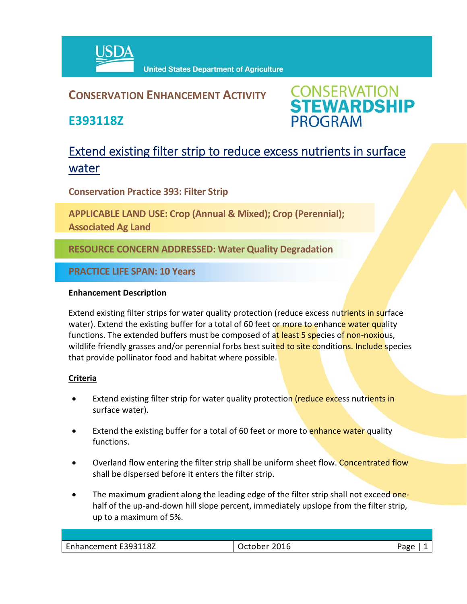

### **CONSERVATION ENHANCEMENT ACTIVITY**

**E393118Z**



## Extend existing filter strip to reduce excess nutrients in surface water

**Conservation Practice 393: Filter Strip**

**APPLICABLE LAND USE: Crop (Annual & Mixed); Crop (Perennial); Associated Ag Land**

**RESOURCE CONCERN ADDRESSED: Water Quality Degradation**

**PRACTICE LIFE SPAN: 10 Years**

#### **Enhancement Description**

Extend existing filter strips for water quality protection (reduce excess nutrients in surface water). Extend the existing buffer for a total of 60 feet or more to enhance water quality functions. The extended buffers must be composed of at least 5 species of non-noxious, wildlife friendly grasses and/or perennial forbs best suited to site conditions. Include species that provide pollinator food and habitat where possible.

#### **Criteria**

- Extend existing filter strip for water quality protection (reduce excess nutrients in surface water).
- Extend the existing buffer for a total of 60 feet or more to enhance water quality functions.
- Overland flow entering the filter strip shall be uniform sheet flow. Concentrated flow shall be dispersed before it enters the filter strip.
- The maximum gradient along the leading edge of the filter strip shall not exceed onehalf of the up-and-down hill slope percent, immediately upslope from the filter strip, up to a maximum of 5%.

| Enhancement E393118Z | 2016<br>ctober | Aמגי |
|----------------------|----------------|------|
|                      |                |      |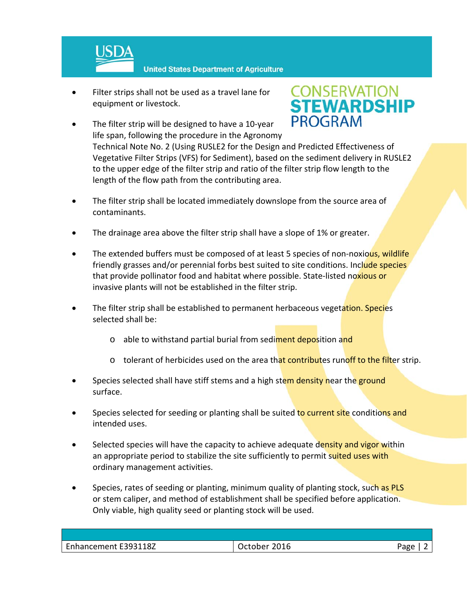

- Filter strips shall not be used as a travel lane for equipment or livestock.
- The filter strip will be designed to have a 10‐year life span, following the procedure in the Agronomy



Technical Note No. 2 (Using RUSLE2 for the Design and Predicted Effectiveness of Vegetative Filter Strips (VFS) for Sediment), based on the sediment delivery in RUSLE2 to the upper edge of the filter strip and ratio of the filter strip flow length to the length of the flow path from the contributing area.

- The filter strip shall be located immediately downslope from the source area of contaminants.
- The drainage area above the filter strip shall have a slope of 1% or greater.
- The extended buffers must be composed of at least 5 species of non-noxious, wildlife friendly grasses and/or perennial forbs best suited to site conditions. Include species that provide pollinator food and habitat where possible. State-listed noxious or invasive plants will not be established in the filter strip.
- The filter strip shall be established to permanent herbaceous vegetation. Species selected shall be:
	- o able to withstand partial burial from sediment deposition and
	- $\circ$  tolerant of herbicides used on the area that contributes runoff to the filter strip.
- Species selected shall have stiff stems and a high stem density near the ground surface.
- Species selected for seeding or planting shall be suited to current site conditions and intended uses.
- Selected species will have the capacity to achieve adequate density and vigor within an appropriate period to stabilize the site sufficiently to permit suited uses with ordinary management activities.
- Species, rates of seeding or planting, minimum quality of planting stock, such as PLS or stem caliper, and method of establishment shall be specified before application. Only viable, high quality seed or planting stock will be used.

| いへい                  |       |
|----------------------|-------|
| Enhancement E393118Z | ∟מבּי |
| 2016                 | ັດ    |